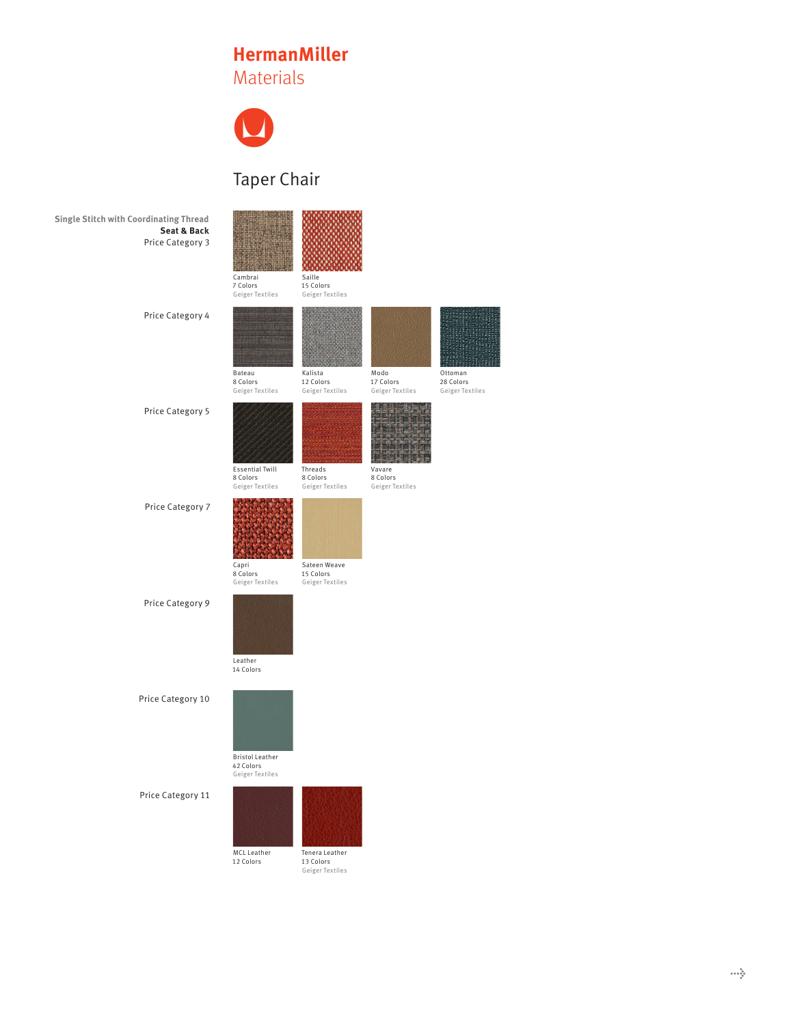## **HermanMiller** Materials



## Taper Chair

| <b>Single Stitch with Coordinating Thread</b><br>Seat & Back<br>Price Category 3 | Cambrai<br>7 Colors<br>Geiger Textiles                 | Saille<br>15 Colors<br>Geiger Textiles         |                                       |
|----------------------------------------------------------------------------------|--------------------------------------------------------|------------------------------------------------|---------------------------------------|
| Price Category 4                                                                 | Bateau<br>8 Colors<br>Geiger Textiles                  | Kalista<br>12 Colors<br>Geiger Textiles        | Modo<br>17 Colors<br>Geiger Textiles  |
| Price Category 5                                                                 | <b>Essential Twill</b><br>8 Colors<br>Geiger Textiles  | Threads<br>8 Colors<br>Geiger Textiles         | Vavare<br>8 Colors<br>Geiger Textiles |
| Price Category 7                                                                 | Capri<br>8 Colors<br>Geiger Textiles                   | Sateen Weave<br>15 Colors<br>Geiger Textiles   |                                       |
| Price Category 9                                                                 | Leather<br>14 Colors                                   |                                                |                                       |
| Price Category 10                                                                | <b>Bristol Leather</b><br>42 Colors<br>Geiger Textiles |                                                |                                       |
| Price Category 11                                                                | MCL Leather<br>12 Colors                               | Tenera Leather<br>13 Colors<br>Geiger Textiles |                                       |



Ottoman 28 Colors Geiger Textiles